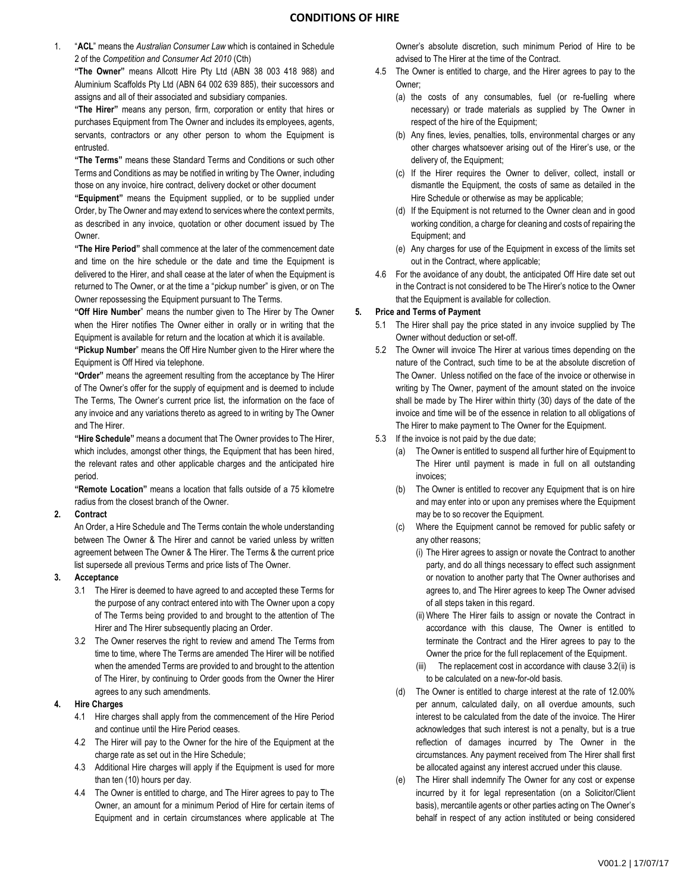1. "**ACL**" means the *Australian Consumer Law* which is contained in Schedule 2 of the *Competition and Consumer Act 2010* (Cth)

**"The Owner"** means Allcott Hire Pty Ltd (ABN 38 003 418 988) and Aluminium Scaffolds Pty Ltd (ABN 64 002 639 885), their successors and assigns and all of their associated and subsidiary companies.

**"The Hirer"** means any person, firm, corporation or entity that hires or purchases Equipment from The Owner and includes its employees, agents, servants, contractors or any other person to whom the Equipment is entrusted.

**"The Terms"** means these Standard Terms and Conditions or such other Terms and Conditions as may be notified in writing by The Owner, including those on any invoice, hire contract, delivery docket or other document

**"Equipment"** means the Equipment supplied, or to be supplied under Order, by The Owner and may extend to services where the context permits, as described in any invoice, quotation or other document issued by The Owner.

**"The Hire Period"** shall commence at the later of the commencement date and time on the hire schedule or the date and time the Equipment is delivered to the Hirer, and shall cease at the later of when the Equipment is returned to The Owner, or at the time a "pickup number" is given, or on The Owner repossessing the Equipment pursuant to The Terms.

**"Off Hire Number**" means the number given to The Hirer by The Owner when the Hirer notifies The Owner either in orally or in writing that the Equipment is available for return and the location at which it is available.

**"Pickup Number**" means the Off Hire Number given to the Hirer where the Equipment is Off Hired via telephone.

**"Order"** means the agreement resulting from the acceptance by The Hirer of The Owner's offer for the supply of equipment and is deemed to include The Terms, The Owner's current price list, the information on the face of any invoice and any variations thereto as agreed to in writing by The Owner and The Hirer.

**"Hire Schedule"** means a document that The Owner provides to The Hirer, which includes, amongst other things, the Equipment that has been hired, the relevant rates and other applicable charges and the anticipated hire period.

**"Remote Location"** means a location that falls outside of a 75 kilometre radius from the closest branch of the Owner.

#### **2. Contract**

An Order, a Hire Schedule and The Terms contain the whole understanding between The Owner & The Hirer and cannot be varied unless by written agreement between The Owner & The Hirer. The Terms & the current price list supersede all previous Terms and price lists of The Owner.

# **3. Acceptance**

- 3.1 The Hirer is deemed to have agreed to and accepted these Terms for the purpose of any contract entered into with The Owner upon a copy of The Terms being provided to and brought to the attention of The Hirer and The Hirer subsequently placing an Order.
- 3.2 The Owner reserves the right to review and amend The Terms from time to time, where The Terms are amended The Hirer will be notified when the amended Terms are provided to and brought to the attention of The Hirer, by continuing to Order goods from the Owner the Hirer agrees to any such amendments.

#### **4. Hire Charges**

- 4.1 Hire charges shall apply from the commencement of the Hire Period and continue until the Hire Period ceases.
- 4.2 The Hirer will pay to the Owner for the hire of the Equipment at the charge rate as set out in the Hire Schedule;
- 4.3 Additional Hire charges will apply if the Equipment is used for more than ten (10) hours per day.
- 4.4 The Owner is entitled to charge, and The Hirer agrees to pay to The Owner, an amount for a minimum Period of Hire for certain items of Equipment and in certain circumstances where applicable at The

Owner's absolute discretion, such minimum Period of Hire to be advised to The Hirer at the time of the Contract.

- 4.5 The Owner is entitled to charge, and the Hirer agrees to pay to the Owner;
	- (a) the costs of any consumables, fuel (or re-fuelling where necessary) or trade materials as supplied by The Owner in respect of the hire of the Equipment;
	- (b) Any fines, levies, penalties, tolls, environmental charges or any other charges whatsoever arising out of the Hirer's use, or the delivery of, the Equipment;
	- (c) If the Hirer requires the Owner to deliver, collect, install or dismantle the Equipment, the costs of same as detailed in the Hire Schedule or otherwise as may be applicable;
	- (d) If the Equipment is not returned to the Owner clean and in good working condition, a charge for cleaning and costs of repairing the Equipment; and
	- (e) Any charges for use of the Equipment in excess of the limits set out in the Contract, where applicable;
- 4.6 For the avoidance of any doubt, the anticipated Off Hire date set out in the Contract is not considered to be The Hirer's notice to the Owner that the Equipment is available for collection.

# **5. Price and Terms of Payment**

- 5.1 The Hirer shall pay the price stated in any invoice supplied by The Owner without deduction or set-off.
- 5.2 The Owner will invoice The Hirer at various times depending on the nature of the Contract, such time to be at the absolute discretion of The Owner. Unless notified on the face of the invoice or otherwise in writing by The Owner, payment of the amount stated on the invoice shall be made by The Hirer within thirty (30) days of the date of the invoice and time will be of the essence in relation to all obligations of The Hirer to make payment to The Owner for the Equipment.
- 5.3 If the invoice is not paid by the due date;
	- (a) The Owner is entitled to suspend all further hire of Equipment to The Hirer until payment is made in full on all outstanding invoices;
	- (b) The Owner is entitled to recover any Equipment that is on hire and may enter into or upon any premises where the Equipment may be to so recover the Equipment.
	- (c) Where the Equipment cannot be removed for public safety or any other reasons;
		- (i) The Hirer agrees to assign or novate the Contract to another party, and do all things necessary to effect such assignment or novation to another party that The Owner authorises and agrees to, and The Hirer agrees to keep The Owner advised of all steps taken in this regard.
		- (ii) Where The Hirer fails to assign or novate the Contract in accordance with this clause, The Owner is entitled to terminate the Contract and the Hirer agrees to pay to the Owner the price for the full replacement of the Equipment.
		- (iii) The replacement cost in accordance with clause 3.2(ii) is to be calculated on a new-for-old basis.
	- (d) The Owner is entitled to charge interest at the rate of 12.00% per annum, calculated daily, on all overdue amounts, such interest to be calculated from the date of the invoice. The Hirer acknowledges that such interest is not a penalty, but is a true reflection of damages incurred by The Owner in the circumstances. Any payment received from The Hirer shall first be allocated against any interest accrued under this clause.
	- (e) The Hirer shall indemnify The Owner for any cost or expense incurred by it for legal representation (on a Solicitor/Client basis), mercantile agents or other parties acting on The Owner's behalf in respect of any action instituted or being considered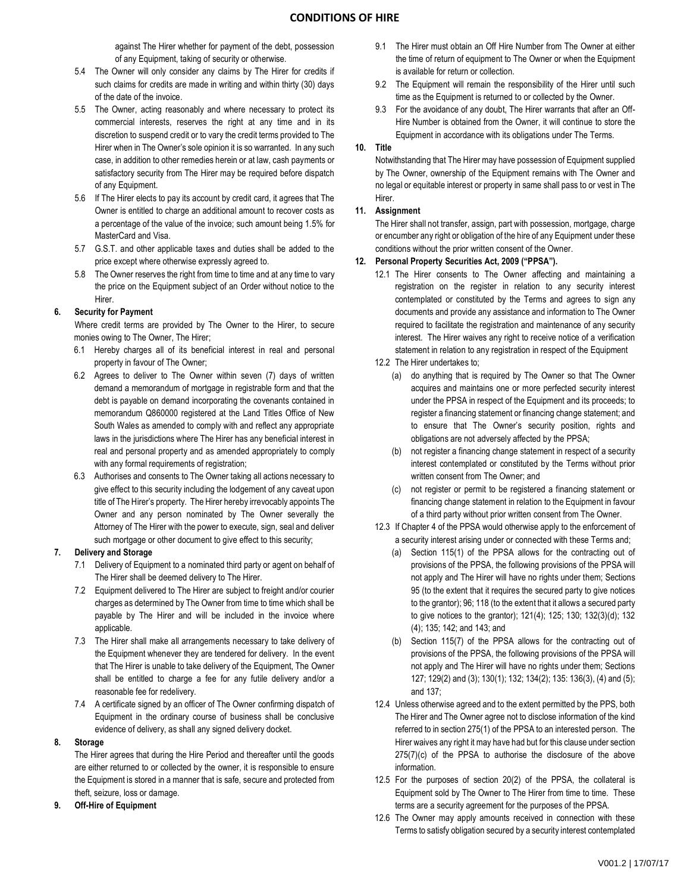against The Hirer whether for payment of the debt, possession of any Equipment, taking of security or otherwise.

- 5.4 The Owner will only consider any claims by The Hirer for credits if such claims for credits are made in writing and within thirty (30) days of the date of the invoice.
- 5.5 The Owner, acting reasonably and where necessary to protect its commercial interests, reserves the right at any time and in its discretion to suspend credit or to vary the credit terms provided to The Hirer when in The Owner's sole opinion it is so warranted. In any such case, in addition to other remedies herein or at law, cash payments or satisfactory security from The Hirer may be required before dispatch of any Equipment.
- 5.6 If The Hirer elects to pay its account by credit card, it agrees that The Owner is entitled to charge an additional amount to recover costs as a percentage of the value of the invoice; such amount being 1.5% for MasterCard and Visa.
- 5.7 G.S.T. and other applicable taxes and duties shall be added to the price except where otherwise expressly agreed to.
- 5.8 The Owner reserves the right from time to time and at any time to vary the price on the Equipment subject of an Order without notice to the Hirer.

### **6. Security for Payment**

Where credit terms are provided by The Owner to the Hirer, to secure monies owing to The Owner, The Hirer;

- 6.1 Hereby charges all of its beneficial interest in real and personal property in favour of The Owner;
- 6.2 Agrees to deliver to The Owner within seven (7) days of written demand a memorandum of mortgage in registrable form and that the debt is payable on demand incorporating the covenants contained in memorandum Q860000 registered at the Land Titles Office of New South Wales as amended to comply with and reflect any appropriate laws in the jurisdictions where The Hirer has any beneficial interest in real and personal property and as amended appropriately to comply with any formal requirements of registration;
- 6.3 Authorises and consents to The Owner taking all actions necessary to give effect to this security including the lodgement of any caveat upon title of The Hirer's property. The Hirer hereby irrevocably appoints The Owner and any person nominated by The Owner severally the Attorney of The Hirer with the power to execute, sign, seal and deliver such mortgage or other document to give effect to this security;

#### **7. Delivery and Storage**

- 7.1 Delivery of Equipment to a nominated third party or agent on behalf of The Hirer shall be deemed delivery to The Hirer.
- 7.2 Equipment delivered to The Hirer are subject to freight and/or courier charges as determined by The Owner from time to time which shall be payable by The Hirer and will be included in the invoice where applicable.
- 7.3 The Hirer shall make all arrangements necessary to take delivery of the Equipment whenever they are tendered for delivery. In the event that The Hirer is unable to take delivery of the Equipment, The Owner shall be entitled to charge a fee for any futile delivery and/or a reasonable fee for redelivery.
- 7.4 A certificate signed by an officer of The Owner confirming dispatch of Equipment in the ordinary course of business shall be conclusive evidence of delivery, as shall any signed delivery docket.

### **8. Storage**

The Hirer agrees that during the Hire Period and thereafter until the goods are either returned to or collected by the owner, it is responsible to ensure the Equipment is stored in a manner that is safe, secure and protected from theft, seizure, loss or damage.

**9. Off-Hire of Equipment** 

- 9.1 The Hirer must obtain an Off Hire Number from The Owner at either the time of return of equipment to The Owner or when the Equipment is available for return or collection.
- 9.2 The Equipment will remain the responsibility of the Hirer until such time as the Equipment is returned to or collected by the Owner.
- 9.3 For the avoidance of any doubt, The Hirer warrants that after an Off-Hire Number is obtained from the Owner, it will continue to store the Equipment in accordance with its obligations under The Terms.

# **10. Title**

Notwithstanding that The Hirer may have possession of Equipment supplied by The Owner, ownership of the Equipment remains with The Owner and no legal or equitable interest or property in same shall pass to or vest in The Hirer.

# **11. Assignment**

The Hirer shall not transfer, assign, part with possession, mortgage, charge or encumber any right or obligation of the hire of any Equipment under these conditions without the prior written consent of the Owner.

# **12. Personal Property Securities Act, 2009 ("PPSA").**

- 12.1 The Hirer consents to The Owner affecting and maintaining a registration on the register in relation to any security interest contemplated or constituted by the Terms and agrees to sign any documents and provide any assistance and information to The Owner required to facilitate the registration and maintenance of any security interest. The Hirer waives any right to receive notice of a verification statement in relation to any registration in respect of the Equipment
- 12.2 The Hirer undertakes to;
	- (a) do anything that is required by The Owner so that The Owner acquires and maintains one or more perfected security interest under the PPSA in respect of the Equipment and its proceeds; to register a financing statement or financing change statement; and to ensure that The Owner's security position, rights and obligations are not adversely affected by the PPSA;
	- (b) not register a financing change statement in respect of a security interest contemplated or constituted by the Terms without prior written consent from The Owner; and
	- (c) not register or permit to be registered a financing statement or financing change statement in relation to the Equipment in favour of a third party without prior written consent from The Owner.
- 12.3 If Chapter 4 of the PPSA would otherwise apply to the enforcement of a security interest arising under or connected with these Terms and;
	- (a) Section 115(1) of the PPSA allows for the contracting out of provisions of the PPSA, the following provisions of the PPSA will not apply and The Hirer will have no rights under them; Sections 95 (to the extent that it requires the secured party to give notices to the grantor); 96; 118 (to the extent that it allows a secured party to give notices to the grantor); 121(4); 125; 130; 132(3)(d); 132 (4); 135; 142; and 143; and
	- (b) Section 115(7) of the PPSA allows for the contracting out of provisions of the PPSA, the following provisions of the PPSA will not apply and The Hirer will have no rights under them; Sections 127; 129(2) and (3); 130(1); 132; 134(2); 135: 136(3), (4) and (5); and 137;
- 12.4 Unless otherwise agreed and to the extent permitted by the PPS, both The Hirer and The Owner agree not to disclose information of the kind referred to in section 275(1) of the PPSA to an interested person. The Hirer waives any right it may have had but for this clause under section 275(7)(c) of the PPSA to authorise the disclosure of the above information.
- 12.5 For the purposes of section 20(2) of the PPSA, the collateral is Equipment sold by The Owner to The Hirer from time to time. These terms are a security agreement for the purposes of the PPSA.
- 12.6 The Owner may apply amounts received in connection with these Terms to satisfy obligation secured by a security interest contemplated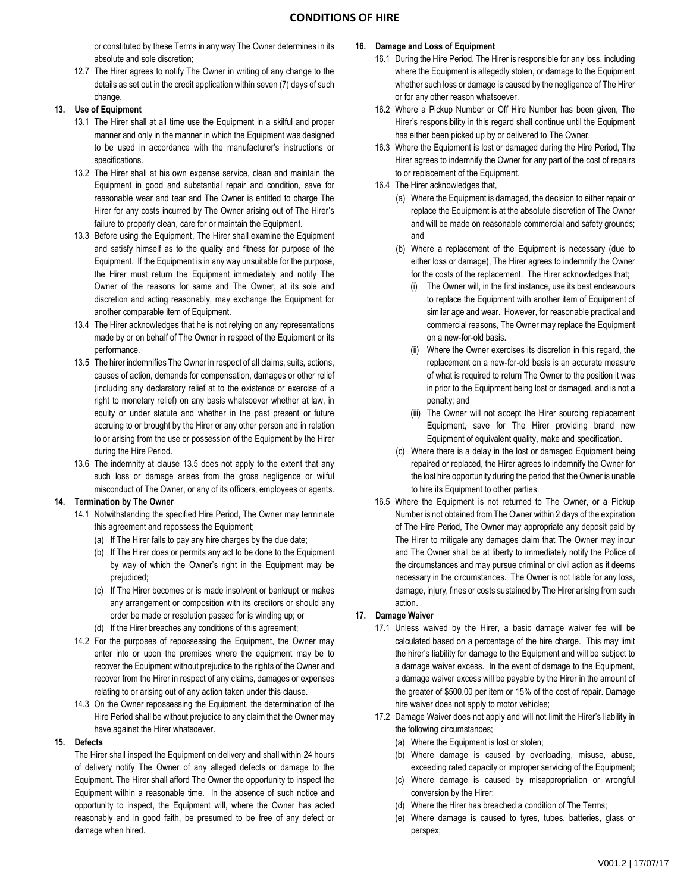or constituted by these Terms in any way The Owner determines in its absolute and sole discretion;

12.7 The Hirer agrees to notify The Owner in writing of any change to the details as set out in the credit application within seven (7) days of such change.

### **13. Use of Equipment**

- 13.1 The Hirer shall at all time use the Equipment in a skilful and proper manner and only in the manner in which the Equipment was designed to be used in accordance with the manufacturer's instructions or specifications.
- 13.2 The Hirer shall at his own expense service, clean and maintain the Equipment in good and substantial repair and condition, save for reasonable wear and tear and The Owner is entitled to charge The Hirer for any costs incurred by The Owner arising out of The Hirer's failure to properly clean, care for or maintain the Equipment.
- 13.3 Before using the Equipment, The Hirer shall examine the Equipment and satisfy himself as to the quality and fitness for purpose of the Equipment. If the Equipment is in any way unsuitable for the purpose, the Hirer must return the Equipment immediately and notify The Owner of the reasons for same and The Owner, at its sole and discretion and acting reasonably, may exchange the Equipment for another comparable item of Equipment.
- 13.4 The Hirer acknowledges that he is not relying on any representations made by or on behalf of The Owner in respect of the Equipment or its performance.
- 13.5 The hirer indemnifies The Owner in respect of all claims, suits, actions, causes of action, demands for compensation, damages or other relief (including any declaratory relief at to the existence or exercise of a right to monetary relief) on any basis whatsoever whether at law, in equity or under statute and whether in the past present or future accruing to or brought by the Hirer or any other person and in relation to or arising from the use or possession of the Equipment by the Hirer during the Hire Period.
- 13.6 The indemnity at clause 13.5 does not apply to the extent that any such loss or damage arises from the gross negligence or wilful misconduct of The Owner, or any of its officers, employees or agents.

#### **14. Termination by The Owner**

- 14.1 Notwithstanding the specified Hire Period, The Owner may terminate this agreement and repossess the Equipment;
	- (a) If The Hirer fails to pay any hire charges by the due date;
	- (b) If The Hirer does or permits any act to be done to the Equipment by way of which the Owner's right in the Equipment may be prejudiced;
	- (c) If The Hirer becomes or is made insolvent or bankrupt or makes any arrangement or composition with its creditors or should any order be made or resolution passed for is winding up; or
	- (d) If the Hirer breaches any conditions of this agreement;
- 14.2 For the purposes of repossessing the Equipment, the Owner may enter into or upon the premises where the equipment may be to recover the Equipment without prejudice to the rights of the Owner and recover from the Hirer in respect of any claims, damages or expenses relating to or arising out of any action taken under this clause.
- 14.3 On the Owner repossessing the Equipment, the determination of the Hire Period shall be without prejudice to any claim that the Owner may have against the Hirer whatsoever.

### **15. Defects**

The Hirer shall inspect the Equipment on delivery and shall within 24 hours of delivery notify The Owner of any alleged defects or damage to the Equipment. The Hirer shall afford The Owner the opportunity to inspect the Equipment within a reasonable time. In the absence of such notice and opportunity to inspect, the Equipment will, where the Owner has acted reasonably and in good faith, be presumed to be free of any defect or damage when hired.

#### **16. Damage and Loss of Equipment**

- 16.1 During the Hire Period, The Hirer is responsible for any loss, including where the Equipment is allegedly stolen, or damage to the Equipment whether such loss or damage is caused by the negligence of The Hirer or for any other reason whatsoever.
- 16.2 Where a Pickup Number or Off Hire Number has been given, The Hirer's responsibility in this regard shall continue until the Equipment has either been picked up by or delivered to The Owner.
- 16.3 Where the Equipment is lost or damaged during the Hire Period, The Hirer agrees to indemnify the Owner for any part of the cost of repairs to or replacement of the Equipment.
- 16.4 The Hirer acknowledges that,
	- (a) Where the Equipment is damaged, the decision to either repair or replace the Equipment is at the absolute discretion of The Owner and will be made on reasonable commercial and safety grounds; and
	- (b) Where a replacement of the Equipment is necessary (due to either loss or damage), The Hirer agrees to indemnify the Owner for the costs of the replacement. The Hirer acknowledges that;
		- (i) The Owner will, in the first instance, use its best endeavours to replace the Equipment with another item of Equipment of similar age and wear. However, for reasonable practical and commercial reasons, The Owner may replace the Equipment on a new-for-old basis.
		- (ii) Where the Owner exercises its discretion in this regard, the replacement on a new-for-old basis is an accurate measure of what is required to return The Owner to the position it was in prior to the Equipment being lost or damaged, and is not a penalty; and
		- (iii) The Owner will not accept the Hirer sourcing replacement Equipment, save for The Hirer providing brand new Equipment of equivalent quality, make and specification.
	- (c) Where there is a delay in the lost or damaged Equipment being repaired or replaced, the Hirer agrees to indemnify the Owner for the lost hire opportunity during the period that the Owner is unable to hire its Equipment to other parties.
- 16.5 Where the Equipment is not returned to The Owner, or a Pickup Number is not obtained from The Owner within 2 days of the expiration of The Hire Period, The Owner may appropriate any deposit paid by The Hirer to mitigate any damages claim that The Owner may incur and The Owner shall be at liberty to immediately notify the Police of the circumstances and may pursue criminal or civil action as it deems necessary in the circumstances. The Owner is not liable for any loss, damage, injury, fines or costs sustained by The Hirer arising from such action.

# **17. Damage Waiver**

- 17.1 Unless waived by the Hirer, a basic damage waiver fee will be calculated based on a percentage of the hire charge. This may limit the hirer's liability for damage to the Equipment and will be subject to a damage waiver excess. In the event of damage to the Equipment, a damage waiver excess will be payable by the Hirer in the amount of the greater of \$500.00 per item or 15% of the cost of repair. Damage hire waiver does not apply to motor vehicles;
- 17.2 Damage Waiver does not apply and will not limit the Hirer's liability in the following circumstances;
	- (a) Where the Equipment is lost or stolen;
	- (b) Where damage is caused by overloading, misuse, abuse, exceeding rated capacity or improper servicing of the Equipment;
	- (c) Where damage is caused by misappropriation or wrongful conversion by the Hirer;
	- (d) Where the Hirer has breached a condition of The Terms;
	- (e) Where damage is caused to tyres, tubes, batteries, glass or perspex;